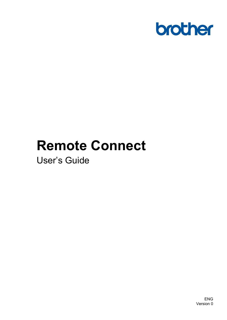

# **Remote Connect**

User's Guide

ENG Version 0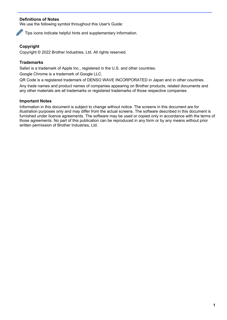#### **Definitions of Notes**

We use the following symbol throughout this User's Guide:



Tips icons indicate helpful hints and supplementary information.

#### **Copyright**

Copyright © 2022 Brother Industries, Ltd. All rights reserved.

#### **Trademarks**

Safari is a trademark of Apple Inc., registered in the U.S. and other countries.

Google Chrome is a trademark of Google LLC.

QR Code is a registered trademark of DENSO WAVE INCORPORATED in Japan and in other countries.

Any trade names and product names of companies appearing on Brother products, related documents and any other materials are all trademarks or registered trademarks of those respective companies.

#### **Important Notes**

Information in this document is subject to change without notice. The screens in this document are for illustration purposes only and may differ from the actual screens. The software described in this document is furnished under licence agreements. The software may be used or copied only in accordance with the terms of those agreements. No part of this publication can be reproduced in any form or by any means without prior written permission of Brother Industries, Ltd.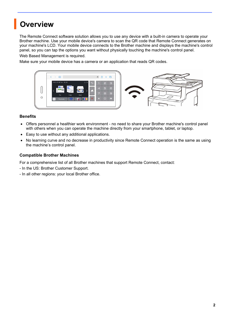### **Overview**

The Remote Connect software solution allows you to use any device with a built-in camera to operate your Brother machine. Use your mobile device's camera to scan the QR code that Remote Connect generates on your machine's LCD. Your mobile device connects to the Brother machine and displays the machine's control panel, so you can tap the options you want without physically touching the machine's control panel.

Web Based Management is required.

Make sure your mobile device has a camera or an application that reads QR codes.



#### **Benefits**

- Offers personnel a healthier work environment no need to share your Brother machine's control panel with others when you can operate the machine directly from your smartphone, tablet, or laptop.
- Easy to use without any additional applications.
- No learning curve and no decrease in productivity since Remote Connect operation is the same as using the machine's control panel.

#### **Compatible Brother Machines**

For a comprehensive list of all Brother machines that support Remote Connect, contact:

- In the US: Brother Customer Support.
- In all other regions: your local Brother office.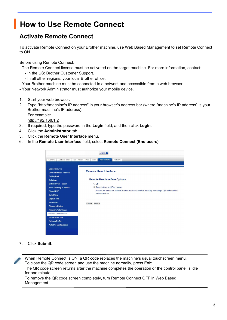## **How to Use Remote Connect**

### **Activate Remote Connect**

To activate Remote Connect on your Brother machine, use Web Based Management to set Remote Connect to ON.

Before using Remote Connect:

- The Remote Connect license must be activated on the target machine. For more information, contact:

- In the US: Brother Customer Support.
- In all other regions: your local Brother office.
- Your Brother machine must be connected to a network and accessible from a web browser.
- Your Network Administrator must authorize your mobile device.
- 1. Start your web browser.
- 2. Type "http://machine's IP address" in your browser's address bar (where "machine's IP address" is your Brother machine's IP address). For example:

[http://192.168.1.2](http://192.168.1.2/)

- 3. If required, type the password in the **Login** field, and then click **Login**.
- 4. Click the **Administrator** tab.
- 5. Click the **Remote User Interface** menu.
- 6. In the **Remote User Interface** field, select **Remote Connect (End users)**.

| $Logout =$                                                                                                                 |                                                                                                                                                          |  |
|----------------------------------------------------------------------------------------------------------------------------|----------------------------------------------------------------------------------------------------------------------------------------------------------|--|
| Address Book<br>Fax<br>General                                                                                             | Administrator<br>Network<br>Copy<br>Print<br>Scan                                                                                                        |  |
| <b>Login Password</b><br><b>User Restriction Function</b>                                                                  | <b>Remote User Interface</b>                                                                                                                             |  |
| <b>Setting Lock</b><br><b>Solutions</b>                                                                                    | <b>Remote User Interface Options</b>                                                                                                                     |  |
| <b>External Card Reader</b><br>Store Print Log to Network<br><b>Signed PDF</b><br>Date&Time                                | $O$ Off<br>Remote Connect (End users)<br>Access for end users to their Brother machine's control panel by scanning a QR code on their<br>mobile devices. |  |
| <b>Logout Time</b><br><b>Reset Menu</b><br><b>Firmware Update</b><br><b>Firmware Auto Check</b><br>▶ Remote User Interface | Submit<br>Cancel                                                                                                                                         |  |
| <b>Stored Print Jobs</b><br><b>Network Profile</b><br><b>Auto Pull Configuration</b>                                       |                                                                                                                                                          |  |

7. Click **Submit**.

When Remote Connect is ON, a QR code replaces the machine's usual touchscreen menu. To close the QR code screen and use the machine normally, press **Exit**. The QR code screen returns after the machine completes the operation or the control panel is idle for one minute.

To remove the QR code screen completely, turn Remote Connect OFF in Web Based Management.